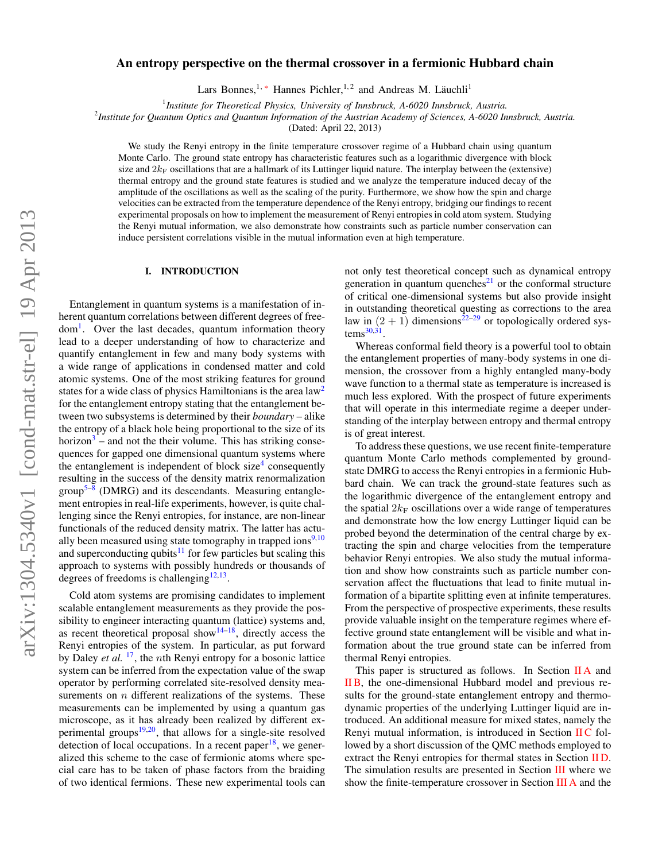# arXiv:1304.5340v1 [cond-mat.str-el] 19 Apr 2013 arXiv:1304.5340v1 [cond-mat.str-el] 19 Apr 2013

# An entropy perspective on the thermal crossover in a fermionic Hubbard chain

Lars Bonnes,<sup>1, [∗](#page-5-0)</sup> Hannes Pichler,<sup>1, 2</sup> and Andreas M. Läuchli<sup>1</sup>

1 *Institute for Theoretical Physics, University of Innsbruck, A-6020 Innsbruck, Austria.*

2 *Institute for Quantum Optics and Quantum Information of the Austrian Academy of Sciences, A-6020 Innsbruck, Austria.*

(Dated: April 22, 2013)

We study the Renyi entropy in the finite temperature crossover regime of a Hubbard chain using quantum Monte Carlo. The ground state entropy has characteristic features such as a logarithmic divergence with block size and  $2k_F$  oscillations that are a hallmark of its Luttinger liquid nature. The interplay between the (extensive) thermal entropy and the ground state features is studied and we analyze the temperature induced decay of the amplitude of the oscillations as well as the scaling of the purity. Furthermore, we show how the spin and charge velocities can be extracted from the temperature dependence of the Renyi entropy, bridging our findings to recent experimental proposals on how to implement the measurement of Renyi entropies in cold atom system. Studying the Renyi mutual information, we also demonstrate how constraints such as particle number conservation can induce persistent correlations visible in the mutual information even at high temperature.

# I. INTRODUCTION

Entanglement in quantum systems is a manifestation of inherent quantum correlations between different degrees of free-dom<sup>[1](#page-5-1)</sup>. Over the last decades, quantum information theory lead to a deeper understanding of how to characterize and quantify entanglement in few and many body systems with a wide range of applications in condensed matter and cold atomic systems. One of the most striking features for ground states for a wide class of physics Hamiltonians is the area  $law<sup>2</sup>$  $law<sup>2</sup>$  $law<sup>2</sup>$ for the entanglement entropy stating that the entanglement between two subsystems is determined by their *boundary* – alike the entropy of a black hole being proportional to the size of its horizon<sup>[3](#page-6-1)</sup> – and not the their volume. This has striking consequences for gapped one dimensional quantum systems where the entanglement is independent of block size<sup>[4](#page-6-2)</sup> consequently resulting in the success of the density matrix renormalization group<sup>5-[8](#page-6-4)</sup> (DMRG) and its descendants. Measuring entanglement entropies in real-life experiments, however, is quite challenging since the Renyi entropies, for instance, are non-linear functionals of the reduced density matrix. The latter has actually been measured using state tomography in trapped ions $9,10$  $9,10$ and superconducting qubits<sup>[11](#page-6-7)</sup> for few particles but scaling this approach to systems with possibly hundreds or thousands of degrees of freedoms is challenging $12,13$  $12,13$ .

Cold atom systems are promising candidates to implement scalable entanglement measurements as they provide the possibility to engineer interacting quantum (lattice) systems and, as recent theoretical proposal show $14-18$  $14-18$ , directly access the Renyi entropies of the system. In particular, as put forward by Daley *et al.* <sup>[17](#page-6-12)</sup>, the *n*th Renyi entropy for a bosonic lattice system can be inferred from the expectation value of the swap operator by performing correlated site-resolved density measurements on  $n$  different realizations of the systems. These measurements can be implemented by using a quantum gas microscope, as it has already been realized by different experimental groups $19,20$  $19,20$ , that allows for a single-site resolved detection of local occupations. In a recent paper<sup>[18](#page-6-11)</sup>, we generalized this scheme to the case of fermionic atoms where special care has to be taken of phase factors from the braiding of two identical fermions. These new experimental tools can not only test theoretical concept such as dynamical entropy generation in quantum quenches<sup>[21](#page-6-15)</sup> or the conformal structure of critical one-dimensional systems but also provide insight in outstanding theoretical questing as corrections to the area law in  $(2 + 1)$  dimensions<sup>[22](#page-6-16)[–29](#page-6-17)</sup> or topologically ordered sys- $tems^{30,31}$  $tems^{30,31}$  $tems^{30,31}$  $tems^{30,31}$ .

Whereas conformal field theory is a powerful tool to obtain the entanglement properties of many-body systems in one dimension, the crossover from a highly entangled many-body wave function to a thermal state as temperature is increased is much less explored. With the prospect of future experiments that will operate in this intermediate regime a deeper understanding of the interplay between entropy and thermal entropy is of great interest.

To address these questions, we use recent finite-temperature quantum Monte Carlo methods complemented by groundstate DMRG to access the Renyi entropies in a fermionic Hubbard chain. We can track the ground-state features such as the logarithmic divergence of the entanglement entropy and the spatial  $2k_F$  oscillations over a wide range of temperatures and demonstrate how the low energy Luttinger liquid can be probed beyond the determination of the central charge by extracting the spin and charge velocities from the temperature behavior Renyi entropies. We also study the mutual information and show how constraints such as particle number conservation affect the fluctuations that lead to finite mutual information of a bipartite splitting even at infinite temperatures. From the perspective of prospective experiments, these results provide valuable insight on the temperature regimes where effective ground state entanglement will be visible and what information about the true ground state can be inferred from thermal Renyi entropies.

This paper is structured as follows. In Section  $\Pi A$  and [II B,](#page-1-1) the one-dimensional Hubbard model and previous results for the ground-state entanglement entropy and thermodynamic properties of the underlying Luttinger liquid are introduced. An additional measure for mixed states, namely the Renyi mutual information, is introduced in Section IIC followed by a short discussion of the QMC methods employed to extract the Renyi entropies for thermal states in Section [II D.](#page-2-0) The simulation results are presented in Section [III](#page-2-1) where we show the finite-temperature crossover in Section [III A](#page-2-2) and the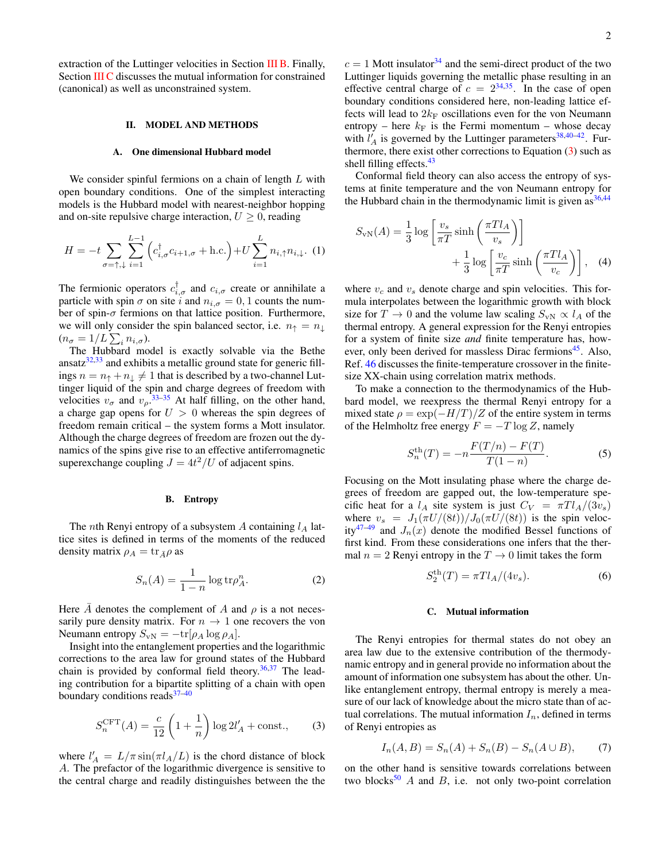extraction of the Luttinger velocities in Section [III B.](#page-3-0) Finally, Section [III C](#page-4-0) discusses the mutual information for constrained (canonical) as well as unconstrained system.

# II. MODEL AND METHODS

# <span id="page-1-0"></span>A. One dimensional Hubbard model

We consider spinful fermions on a chain of length  $L$  with open boundary conditions. One of the simplest interacting models is the Hubbard model with nearest-neighbor hopping and on-site repulsive charge interaction,  $U \geq 0$ , reading

$$
H = -t \sum_{\sigma = \uparrow, \downarrow} \sum_{i=1}^{L-1} \left( c_{i,\sigma}^{\dagger} c_{i+1,\sigma} + \text{h.c.} \right) + U \sum_{i=1}^{L} n_{i,\uparrow} n_{i,\downarrow}. \tag{1}
$$

The fermionic operators  $c_{i,\sigma}^{\dagger}$  and  $c_{i,\sigma}$  create or annihilate a particle with spin  $\sigma$  on site i and  $n_{i,\sigma} = 0, 1$  counts the number of spin- $\sigma$  fermions on that lattice position. Furthermore, we will only consider the spin balanced sector, i.e.  $n_{\uparrow} = n_{\downarrow}$  $(n_{\sigma} = 1/L \sum_{i} n_{i,\sigma}).$ 

The Hubbard model is exactly solvable via the Bethe ansatz $32,33$  $32,33$  and exhibits a metallic ground state for generic fillings  $n = n_{\uparrow} + n_{\downarrow} \neq 1$  that is described by a two-channel Luttinger liquid of the spin and charge degrees of freedom with velocities  $v_{\sigma}$  and  $v_{\rho}$ .<sup>[33](#page-6-21)[–35](#page-6-22)</sup> At half filling, on the other hand, a charge gap opens for  $U > 0$  whereas the spin degrees of freedom remain critical – the system forms a Mott insulator. Although the charge degrees of freedom are frozen out the dynamics of the spins give rise to an effective antiferromagnetic superexchange coupling  $J = 4t^2/U$  of adjacent spins.

# <span id="page-1-1"></span>B. Entropy

The *n*th Renyi entropy of a subsystem A containing  $l_A$  lattice sites is defined in terms of the moments of the reduced density matrix  $\rho_A = \text{tr}_{\bar{A}} \rho$  as

<span id="page-1-6"></span>
$$
S_n(A) = \frac{1}{1-n} \log \text{tr} \rho_A^n. \tag{2}
$$

Here  $\overline{A}$  denotes the complement of A and  $\rho$  is a not necessarily pure density matrix. For  $n \to 1$  one recovers the von Neumann entropy  $S_{\rm vN} = -\text{tr}[\rho_A \log \rho_A].$ 

Insight into the entanglement properties and the logarithmic corrections to the area law for ground states of the Hubbard chain is provided by conformal field theory.<sup>[36,](#page-6-23)[37](#page-6-24)</sup> The leading contribution for a bipartite splitting of a chain with open boundary conditions reads $37-40$  $37-40$ 

<span id="page-1-3"></span>
$$
S_n^{\text{CFT}}(A) = \frac{c}{12} \left( 1 + \frac{1}{n} \right) \log 2l_A' + \text{const.},\qquad(3)
$$

where  $l'_A = L/\pi \sin(\pi l_A/L)$  is the chord distance of block A. The prefactor of the logarithmic divergence is sensitive to the central charge and readily distinguishes between the the

 $c = 1$  Mott insulator<sup>[34](#page-6-26)</sup> and the semi-direct product of the two Luttinger liquids governing the metallic phase resulting in an effective central charge of  $c = 2^{34,35}$  $c = 2^{34,35}$  $c = 2^{34,35}$  $c = 2^{34,35}$ . In the case of open boundary conditions considered here, non-leading lattice effects will lead to  $2k_F$  oscillations even for the von Neumann entropy – here  $k_F$  is the Fermi momentum – whose decay with  $l'_A$  is governed by the Luttinger parameters<sup>[38](#page-6-27)[,40–](#page-6-25)[42](#page-6-28)</sup>. Furthermore, there exist other corrections to Equation  $(3)$  such as shell filling effects. $43$ 

Conformal field theory can also access the entropy of systems at finite temperature and the von Neumann entropy for the Hubbard chain in the thermodynamic limit is given  $as^{36,44}$  $as^{36,44}$  $as^{36,44}$  $as^{36,44}$ 

<span id="page-1-5"></span>
$$
S_{\rm vN}(A) = \frac{1}{3} \log \left[ \frac{v_s}{\pi T} \sinh \left( \frac{\pi T l_A}{v_s} \right) \right] + \frac{1}{3} \log \left[ \frac{v_c}{\pi T} \sinh \left( \frac{\pi T l_A}{v_c} \right) \right], \quad (4)
$$

where  $v_c$  and  $v_s$  denote charge and spin velocities. This formula interpolates between the logarithmic growth with block size for  $T \to 0$  and the volume law scaling  $S_{\rm vN} \propto l_A$  of the thermal entropy. A general expression for the Renyi entropies for a system of finite size *and* finite temperature has, how-ever, only been derived for massless Dirac fermions<sup>[45](#page-6-31)</sup>. Also, Ref. [46](#page-6-32) discusses the finite-temperature crossover in the finitesize XX-chain using correlation matrix methods.

To make a connection to the thermodynamics of the Hubbard model, we reexpress the thermal Renyi entropy for a mixed state  $\rho = \exp(-H/T)/Z$  of the entire system in terms of the Helmholtz free energy  $F = -T \log Z$ , namely

$$
S_n^{\text{th}}(T) = -n \frac{F(T/n) - F(T)}{T(1-n)}.
$$
 (5)

Focusing on the Mott insulating phase where the charge degrees of freedom are gapped out, the low-temperature specific heat for a  $l_A$  site system is just  $C_V = \pi T l_A/(3v_s)$ where  $v_s = J_1(\pi U/(8t))/J_0(\pi U/(8t))$  is the spin veloc-ity<sup>[47–](#page-6-33)[49](#page-6-34)</sup> and  $J_n(x)$  denote the modified Bessel functions of first kind. From these considerations one infers that the thermal  $n = 2$  Renyi entropy in the  $T \rightarrow 0$  limit takes the form

<span id="page-1-4"></span>
$$
S_2^{\text{th}}(T) = \pi T l_A / (4v_s).
$$
 (6)

### <span id="page-1-2"></span>C. Mutual information

The Renyi entropies for thermal states do not obey an area law due to the extensive contribution of the thermodynamic entropy and in general provide no information about the amount of information one subsystem has about the other. Unlike entanglement entropy, thermal entropy is merely a measure of our lack of knowledge about the micro state than of actual correlations. The mutual information  $I_n$ , defined in terms of Renyi entropies as

<span id="page-1-7"></span>
$$
I_n(A, B) = S_n(A) + S_n(B) - S_n(A \cup B), \tag{7}
$$

on the other hand is sensitive towards correlations between two blocks<sup>[50](#page-6-35)</sup> A and B, i.e. not only two-point correlation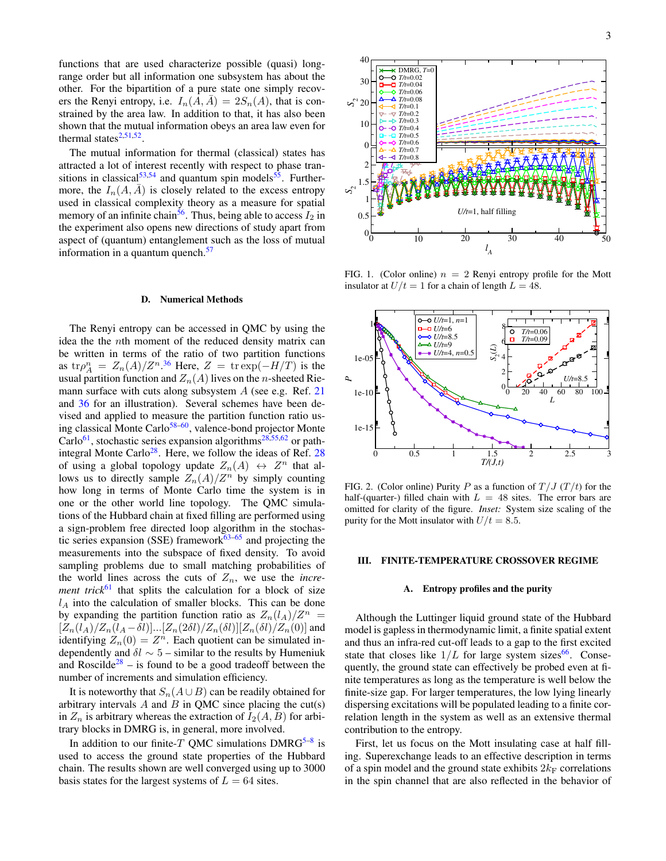functions that are used characterize possible (quasi) longrange order but all information one subsystem has about the other. For the bipartition of a pure state one simply recovers the Renyi entropy, i.e.  $I_n(A, \overline{A}) = 2S_n(A)$ , that is constrained by the area law. In addition to that, it has also been shown that the mutual information obeys an area law even for thermal states $2,51,52$  $2,51,52$  $2,51,52$ .

The mutual information for thermal (classical) states has attracted a lot of interest recently with respect to phase tran-sitions in classical<sup>[53,](#page-7-2)[54](#page-7-3)</sup> and quantum spin models<sup>[55](#page-7-4)</sup>. Furthermore, the  $I_n(A, \overline{A})$  is closely related to the excess entropy used in classical complexity theory as a measure for spatial memory of an infinite chain<sup>[56](#page-7-5)</sup>. Thus, being able to access  $I_2$  in the experiment also opens new directions of study apart from aspect of (quantum) entanglement such as the loss of mutual information in a quantum quench. $57$ 

# <span id="page-2-0"></span>D. Numerical Methods

The Renyi entropy can be accessed in QMC by using the idea the the nth moment of the reduced density matrix can be written in terms of the ratio of two partition functions as  $\text{tr}\rho_A^n = Z_n(A)/Z^{n.36}$  $\text{tr}\rho_A^n = Z_n(A)/Z^{n.36}$  $\text{tr}\rho_A^n = Z_n(A)/Z^{n.36}$  Here,  $Z = \text{tr}\exp(-H/T)$  is the usual partition function and  $Z_n(A)$  lives on the *n*-sheeted Riemann surface with cuts along subsystem  $A$  (see e.g. Ref. [21](#page-6-15)) and [36](#page-6-23) for an illustration). Several schemes have been devised and applied to measure the partition function ratio us-ing classical Monte Carlo<sup>[58](#page-7-7)[–60](#page-7-8)</sup>, valence-bond projector Monte Carlo<sup>[61](#page-7-9)</sup>, stochastic series expansion algorithms<sup>[28,](#page-6-36)[55](#page-7-4)[,62](#page-7-10)</sup> or path-integral Monte Carlo<sup>[28](#page-6-36)</sup>. Here, we follow the ideas of Ref. 28 of using a global topology update  $Z_n(A) \leftrightarrow Z^n$  that allows us to directly sample  $Z_n(A)/Z^n$  by simply counting how long in terms of Monte Carlo time the system is in one or the other world line topology. The QMC simulations of the Hubbard chain at fixed filling are performed using a sign-problem free directed loop algorithm in the stochastic series expansion (SSE) framework $63-65$  $63-65$  and projecting the measurements into the subspace of fixed density. To avoid sampling problems due to small matching probabilities of the world lines across the cuts of  $Z_n$ , we use the *increment trick*<sup>[61](#page-7-9)</sup> that splits the calculation for a block of size  $l_A$  into the calculation of smaller blocks. This can be done by expanding the partition function ratio as  $Z_n(l_A)/Z^n =$  $[Z_n(l_A)/Z_n(l_A - \delta l)]...[Z_n(2\delta l)/Z_n(\delta l)][Z_n(\delta l)/Z_n(0)]$  and identifying  $Z_n(0) = Z^n$ . Each quotient can be simulated independently and  $\delta l \sim 5$  – similar to the results by Humeniuk and Roscilde<sup>[28](#page-6-36)</sup> – is found to be a good tradeoff between the number of increments and simulation efficiency.

It is noteworthy that  $S_n(A \cup B)$  can be readily obtained for arbitrary intervals  $A$  and  $B$  in QMC since placing the cut(s) in  $Z_n$  is arbitrary whereas the extraction of  $I_2(A, B)$  for arbitrary blocks in DMRG is, in general, more involved.

In addition to our finite-T QMC simulations  $DMRG^{5-8}$  $DMRG^{5-8}$  $DMRG^{5-8}$  is used to access the ground state properties of the Hubbard chain. The results shown are well converged using up to 3000 basis states for the largest systems of  $L = 64$  sites.

3



<span id="page-2-3"></span>FIG. 1. (Color online)  $n = 2$  Renyi entropy profile for the Mott insulator at  $U/t = 1$  for a chain of length  $L = 48$ .



<span id="page-2-4"></span>FIG. 2. (Color online) Purity P as a function of  $T/J(T/t)$  for the half-(quarter-) filled chain with  $L = 48$  sites. The error bars are omitted for clarity of the figure. *Inset:* System size scaling of the purity for the Mott insulator with  $U/t = 8.5$ .

## <span id="page-2-1"></span>III. FINITE-TEMPERATURE CROSSOVER REGIME

## <span id="page-2-2"></span>A. Entropy profiles and the purity

Although the Luttinger liquid ground state of the Hubbard model is gapless in thermodynamic limit, a finite spatial extent and thus an infra-red cut-off leads to a gap to the first excited state that closes like  $1/L$  for large system sizes<sup>[66](#page-7-13)</sup>. Consequently, the ground state can effectively be probed even at finite temperatures as long as the temperature is well below the finite-size gap. For larger temperatures, the low lying linearly dispersing excitations will be populated leading to a finite correlation length in the system as well as an extensive thermal contribution to the entropy.

First, let us focus on the Mott insulating case at half filling. Superexchange leads to an effective description in terms of a spin model and the ground state exhibits  $2k_F$  correlations in the spin channel that are also reflected in the behavior of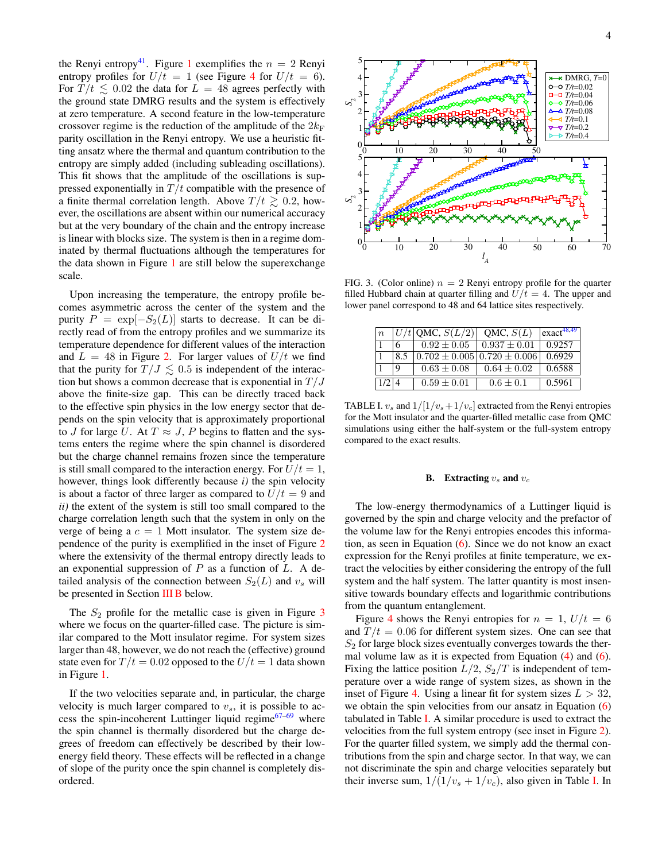the Renyi entropy<sup>[41](#page-6-37)</sup>. Figure [1](#page-2-3) exemplifies the  $n = 2$  Renyi entropy profiles for  $U/t = 1$  (see Figure [4](#page-4-1) for  $U/t = 6$ ). For  $T/t \leq 0.02$  the data for  $L = 48$  agrees perfectly with the ground state DMRG results and the system is effectively at zero temperature. A second feature in the low-temperature crossover regime is the reduction of the amplitude of the  $2k_F$ parity oscillation in the Renyi entropy. We use a heuristic fitting ansatz where the thermal and quantum contribution to the entropy are simply added (including subleading oscillations). This fit shows that the amplitude of the oscillations is suppressed exponentially in  $T/t$  compatible with the presence of a finite thermal correlation length. Above  $T/t \gtrsim 0.2$ , however, the oscillations are absent within our numerical accuracy but at the very boundary of the chain and the entropy increase is linear with blocks size. The system is then in a regime dominated by thermal fluctuations although the temperatures for the data shown in Figure [1](#page-2-3) are still below the superexchange scale.

Upon increasing the temperature, the entropy profile becomes asymmetric across the center of the system and the purity  $P = \exp[-S_2(L)]$  starts to decrease. It can be directly read of from the entropy profiles and we summarize its temperature dependence for different values of the interaction and  $L = 48$  in Figure [2.](#page-2-4) For larger values of  $U/t$  we find that the purity for  $T/J \leq 0.5$  is independent of the interaction but shows a common decrease that is exponential in  $T/J$ above the finite-size gap. This can be directly traced back to the effective spin physics in the low energy sector that depends on the spin velocity that is approximately proportional to J for large U. At  $T \approx J$ , P begins to flatten and the systems enters the regime where the spin channel is disordered but the charge channel remains frozen since the temperature is still small compared to the interaction energy. For  $U/t = 1$ , however, things look differently because *i)* the spin velocity is about a factor of three larger as compared to  $U/t = 9$  and *ii)* the extent of the system is still too small compared to the charge correlation length such that the system in only on the verge of being a  $c = 1$  Mott insulator. The system size dependence of the purity is exemplified in the inset of Figure [2](#page-2-4) where the extensivity of the thermal entropy directly leads to an exponential suppression of  $P$  as a function of  $L$ . A detailed analysis of the connection between  $S_2(L)$  and  $v_s$  will be presented in Section [III B](#page-3-0) below.

The  $S_2$  profile for the metallic case is given in Figure [3](#page-3-1) where we focus on the quarter-filled case. The picture is similar compared to the Mott insulator regime. For system sizes larger than 48, however, we do not reach the (effective) ground state even for  $T/t = 0.02$  opposed to the  $U/t = 1$  data shown in Figure [1.](#page-2-3)

If the two velocities separate and, in particular, the charge velocity is much larger compared to  $v_s$ , it is possible to access the spin-incoherent Luttinger liquid regime[67–](#page-7-14)[69](#page-7-15) where the spin channel is thermally disordered but the charge degrees of freedom can effectively be described by their lowenergy field theory. These effects will be reflected in a change of slope of the purity once the spin channel is completely disordered.



<span id="page-3-1"></span>FIG. 3. (Color online)  $n = 2$  Renyi entropy profile for the quarter filled Hubbard chain at quarter filling and  $U/t = 4$ . The upper and lower panel correspond to 48 and 64 lattice sites respectively.

| $\boldsymbol{n}$ |             | $ U/t $ QMC, $S(L/2) $              | OMC, $S(L)$    | $\frac{1}{2}$ exact <sup>48,49</sup> |
|------------------|-------------|-------------------------------------|----------------|--------------------------------------|
|                  | $6^{\circ}$ | $0.92 + 0.05$                       | $0.937 + 0.01$ | 0.9257                               |
|                  | 18.5        | $0.702 \pm 0.005$ $0.720 \pm 0.006$ |                | 0.6929                               |
|                  | Q           | $0.63 + 0.08$                       | $0.64 + 0.02$  | 0.6588                               |
| $1/2$   4        |             | $0.59 \pm 0.01$                     | $0.6 + 0.1$    | 0.5961                               |

<span id="page-3-2"></span>TABLE I.  $v_s$  and  $1/[1/v_s+1/v_c]$  extracted from the Renyi entropies for the Mott insulator and the quarter-filled metallic case from QMC simulations using either the half-system or the full-system entropy compared to the exact results.

# <span id="page-3-0"></span>**B.** Extracting  $v_s$  and  $v_c$

The low-energy thermodynamics of a Luttinger liquid is governed by the spin and charge velocity and the prefactor of the volume law for the Renyi entropies encodes this information, as seen in Equation [\(6\)](#page-1-4). Since we do not know an exact expression for the Renyi profiles at finite temperature, we extract the velocities by either considering the entropy of the full system and the half system. The latter quantity is most insensitive towards boundary effects and logarithmic contributions from the quantum entanglement.

Figure [4](#page-4-1) shows the Renyi entropies for  $n = 1$ ,  $U/t = 6$ and  $T/t = 0.06$  for different system sizes. One can see that  $S<sub>2</sub>$  for large block sizes eventually converges towards the thermal volume law as it is expected from Equation [\(4\)](#page-1-5) and [\(6\)](#page-1-4). Fixing the lattice position  $L/2$ ,  $S_2/T$  is independent of temperature over a wide range of system sizes, as shown in the inset of Figure [4.](#page-4-1) Using a linear fit for system sizes  $L > 32$ , we obtain the spin velocities from our ansatz in Equation [\(6\)](#page-1-4) tabulated in Table [I.](#page-3-2) A similar procedure is used to extract the velocities from the full system entropy (see inset in Figure [2\)](#page-2-4). For the quarter filled system, we simply add the thermal contributions from the spin and charge sector. In that way, we can not discriminate the spin and charge velocities separately but their inverse sum,  $1/(1/v_s + 1/v_c)$ , also given in Table [I.](#page-3-2) In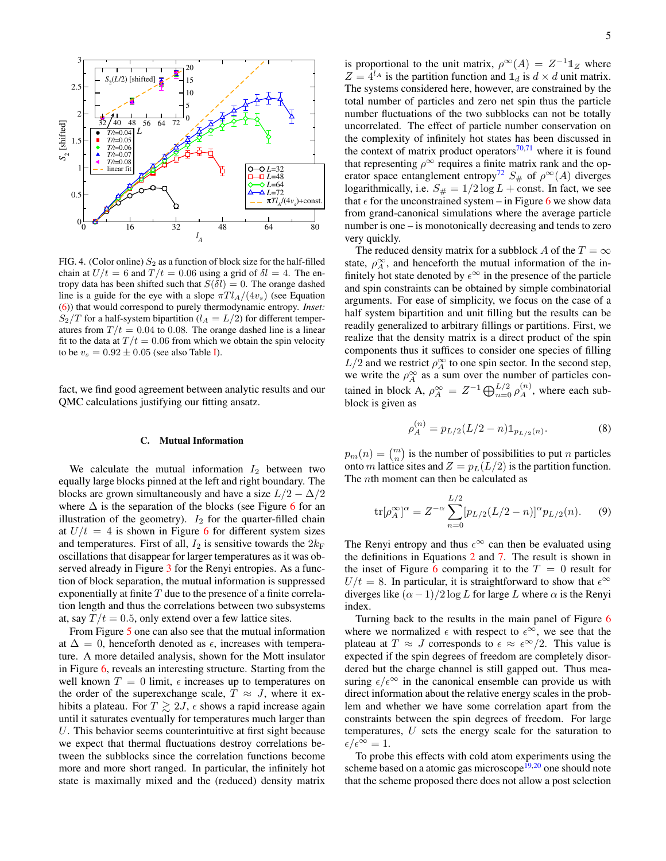

<span id="page-4-1"></span>FIG. 4. (Color online)  $S_2$  as a function of block size for the half-filled chain at  $U/t = 6$  and  $T/t = 0.06$  using a grid of  $\delta l = 4$ . The entropy data has been shifted such that  $S(\delta l) = 0$ . The orange dashed line is a guide for the eye with a slope  $\pi T l_A/(4v_s)$  (see Equation [\(6\)](#page-1-4)) that would correspond to purely thermodynamic entropy. *Inset:*  $S_2/T$  for a half-system bipartition ( $l_A = L/2$ ) for different temperatures from  $T/t = 0.04$  to 0.08. The orange dashed line is a linear fit to the data at  $T/t = 0.06$  from which we obtain the spin velocity to be  $v_s = 0.92 \pm 0.05$  (see also Table [I\)](#page-3-2).

fact, we find good agreement between analytic results and our QMC calculations justifying our fitting ansatz.

# <span id="page-4-0"></span>C. Mutual Information

We calculate the mutual information  $I_2$  between two equally large blocks pinned at the left and right boundary. The blocks are grown simultaneously and have a size  $L/2 - \Delta/2$ where  $\Delta$  is the separation of the blocks (see Figure [6](#page-5-2) for an illustration of the geometry).  $I_2$  for the quarter-filled chain at  $U/t = 4$  is shown in Figure [6](#page-5-2) for different system sizes and temperatures. First of all,  $I_2$  is sensitive towards the  $2k_F$ oscillations that disappear for larger temperatures as it was ob-served already in Figure [3](#page-3-1) for the Renyi entropies. As a function of block separation, the mutual information is suppressed exponentially at finite  $T$  due to the presence of a finite correlation length and thus the correlations between two subsystems at, say  $T/t = 0.5$ , only extend over a few lattice sites.

From Figure [5](#page-5-3) one can also see that the mutual information at  $\Delta = 0$ , henceforth denoted as  $\epsilon$ , increases with temperature. A more detailed analysis, shown for the Mott insulator in Figure [6,](#page-5-2) reveals an interesting structure. Starting from the well known  $T = 0$  limit,  $\epsilon$  increases up to temperatures on the order of the superexchange scale,  $T \approx J$ , where it exhibits a plateau. For  $T \geq 2J$ ,  $\epsilon$  shows a rapid increase again until it saturates eventually for temperatures much larger than U. This behavior seems counterintuitive at first sight because we expect that thermal fluctuations destroy correlations between the subblocks since the correlation functions become more and more short ranged. In particular, the infinitely hot state is maximally mixed and the (reduced) density matrix

is proportional to the unit matrix,  $\rho^{\infty}(A) = Z^{-1} \mathbb{1}_Z$  where  $Z = 4^{l_A}$  is the partition function and  $\mathbb{1}_d$  is  $d \times d$  unit matrix. The systems considered here, however, are constrained by the total number of particles and zero net spin thus the particle number fluctuations of the two subblocks can not be totally uncorrelated. The effect of particle number conservation on the complexity of infinitely hot states has been discussed in the context of matrix product operators $\frac{70,71}{8}$  $\frac{70,71}{8}$  $\frac{70,71}{8}$  $\frac{70,71}{8}$  where it is found that representing  $\rho^{\infty}$  requires a finite matrix rank and the op-erator space entanglement entropy<sup>[72](#page-7-18)</sup>  $S_{\#}$  of  $\rho^{\infty}(A)$  diverges logarithmically, i.e.  $S_{\#} = 1/2 \log L + \text{const.}$  In fact, we see that  $\epsilon$  for the unconstrained system – in Figure [6](#page-5-2) we show data from grand-canonical simulations where the average particle number is one – is monotonically decreasing and tends to zero very quickly.

The reduced density matrix for a subblock A of the  $T = \infty$ state,  $\rho_A^{\infty}$ , and henceforth the mutual information of the infinitely hot state denoted by  $\epsilon^{\infty}$  in the presence of the particle and spin constraints can be obtained by simple combinatorial arguments. For ease of simplicity, we focus on the case of a half system bipartition and unit filling but the results can be readily generalized to arbitrary fillings or partitions. First, we realize that the density matrix is a direct product of the spin components thus it suffices to consider one species of filling  $L/2$  and we restrict  $\rho_A^{\infty}$  to one spin sector. In the second step, we write the  $\rho_A^{\infty}$  as a sum over the number of particles contained in block A,  $\rho_A^{\infty} = Z^{-1} \bigoplus_{n=0}^{L/2} \rho_A^{(n)}$ , where each subblock is given as

$$
\rho_A^{(n)} = p_{L/2}(L/2 - n) \mathbb{1}_{p_{L/2}(n)}.
$$
\n(8)

 $p_m(n) = \binom{m}{n}$  is the number of possibilities to put *n* particles onto m lattice sites and  $Z = p_L(L/2)$  is the partition function. The *n*th moment can then be calculated as

$$
\text{tr}[\rho_A^{\infty}]^{\alpha} = Z^{-\alpha} \sum_{n=0}^{L/2} [p_{L/2}(L/2 - n)]^{\alpha} p_{L/2}(n). \tag{9}
$$

The Renyi entropy and thus  $\epsilon^{\infty}$  can then be evaluated using the definitions in Equations [2](#page-1-6) and [7.](#page-1-7) The result is shown in the inset of Figure [6](#page-5-2) comparing it to the  $T = 0$  result for  $U/t = 8$ . In particular, it is straightforward to show that  $\epsilon^{\infty}$ diverges like  $(\alpha - 1)/2 \log L$  for large L where  $\alpha$  is the Renyi index.

Turning back to the results in the main panel of Figure [6](#page-5-2) where we normalized  $\epsilon$  with respect to  $\epsilon^{\infty}$ , we see that the plateau at  $T \approx J$  corresponds to  $\epsilon \approx \epsilon^{\infty}/2$ . This value is expected if the spin degrees of freedom are completely disordered but the charge channel is still gapped out. Thus measuring  $\epsilon/\epsilon^{\infty}$  in the canonical ensemble can provide us with direct information about the relative energy scales in the problem and whether we have some correlation apart from the constraints between the spin degrees of freedom. For large temperatures, U sets the energy scale for the saturation to  $\epsilon/\epsilon^{\infty} = 1.$ 

To probe this effects with cold atom experiments using the scheme based on a atomic gas microscope<sup>[19,](#page-6-13)[20](#page-6-14)</sup> one should note that the scheme proposed there does not allow a post selection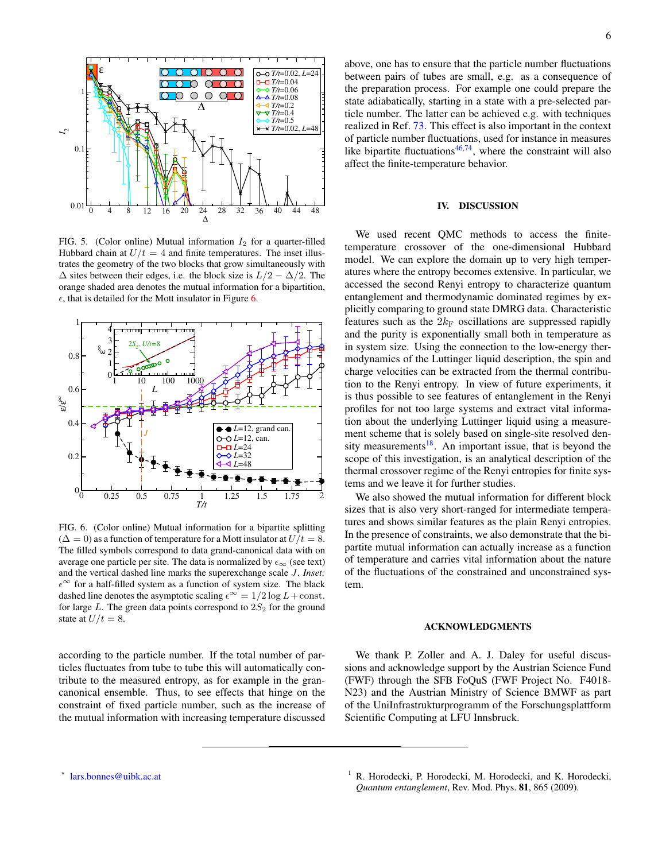

<span id="page-5-3"></span>FIG. 5. (Color online) Mutual information  $I_2$  for a quarter-filled Hubbard chain at  $U/t = 4$  and finite temperatures. The inset illustrates the geometry of the two blocks that grow simultaneously with  $\Delta$  sites between their edges, i.e. the block size is  $L/2 - \Delta/2$ . The orange shaded area denotes the mutual information for a bipartition,  $\epsilon$ , that is detailed for the Mott insulator in Figure [6.](#page-5-2)



<span id="page-5-2"></span>FIG. 6. (Color online) Mutual information for a bipartite splitting  $(\Delta = 0)$  as a function of temperature for a Mott insulator at  $U/t = 8$ . The filled symbols correspond to data grand-canonical data with on average one particle per site. The data is normalized by  $\epsilon_{\infty}$  (see text) and the vertical dashed line marks the superexchange scale J. *Inset:*  $\epsilon^{\infty}$  for a half-filled system as a function of system size. The black dashed line denotes the asymptotic scaling  $\epsilon^{\infty} = 1/2 \log L + \text{const.}$ for large  $L$ . The green data points correspond to  $2S_2$  for the ground state at  $U/t = 8$ .

according to the particle number. If the total number of particles fluctuates from tube to tube this will automatically contribute to the measured entropy, as for example in the grancanonical ensemble. Thus, to see effects that hinge on the constraint of fixed particle number, such as the increase of the mutual information with increasing temperature discussed above, one has to ensure that the particle number fluctuations between pairs of tubes are small, e.g. as a consequence of the preparation process. For example one could prepare the state adiabatically, starting in a state with a pre-selected particle number. The latter can be achieved e.g. with techniques realized in Ref. [73.](#page-7-19) This effect is also important in the context of particle number fluctuations, used for instance in measures like bipartite fluctuations $46.74$  $46.74$ , where the constraint will also affect the finite-temperature behavior.

# IV. DISCUSSION

We used recent QMC methods to access the finitetemperature crossover of the one-dimensional Hubbard model. We can explore the domain up to very high temperatures where the entropy becomes extensive. In particular, we accessed the second Renyi entropy to characterize quantum entanglement and thermodynamic dominated regimes by explicitly comparing to ground state DMRG data. Characteristic features such as the  $2k_F$  oscillations are suppressed rapidly and the purity is exponentially small both in temperature as in system size. Using the connection to the low-energy thermodynamics of the Luttinger liquid description, the spin and charge velocities can be extracted from the thermal contribution to the Renyi entropy. In view of future experiments, it is thus possible to see features of entanglement in the Renyi profiles for not too large systems and extract vital information about the underlying Luttinger liquid using a measurement scheme that is solely based on single-site resolved den-sity measurements<sup>[18](#page-6-11)</sup>. An important issue, that is beyond the scope of this investigation, is an analytical description of the thermal crossover regime of the Renyi entropies for finite systems and we leave it for further studies.

We also showed the mutual information for different block sizes that is also very short-ranged for intermediate temperatures and shows similar features as the plain Renyi entropies. In the presence of constraints, we also demonstrate that the bipartite mutual information can actually increase as a function of temperature and carries vital information about the nature of the fluctuations of the constrained and unconstrained system.

# ACKNOWLEDGMENTS

We thank P. Zoller and A. J. Daley for useful discussions and acknowledge support by the Austrian Science Fund (FWF) through the SFB FoQuS (FWF Project No. F4018- N23) and the Austrian Ministry of Science BMWF as part of the UniInfrastrukturprogramm of the Forschungsplattform Scientific Computing at LFU Innsbruck.

<span id="page-5-0"></span><sup>\*</sup> lars.bonnes@uibk.ac.at

<span id="page-5-1"></span> $1$  R. Horodecki, P. Horodecki, M. Horodecki, and K. Horodecki, *Quantum entanglement*, Rev. Mod. Phys. 81, 865 (2009).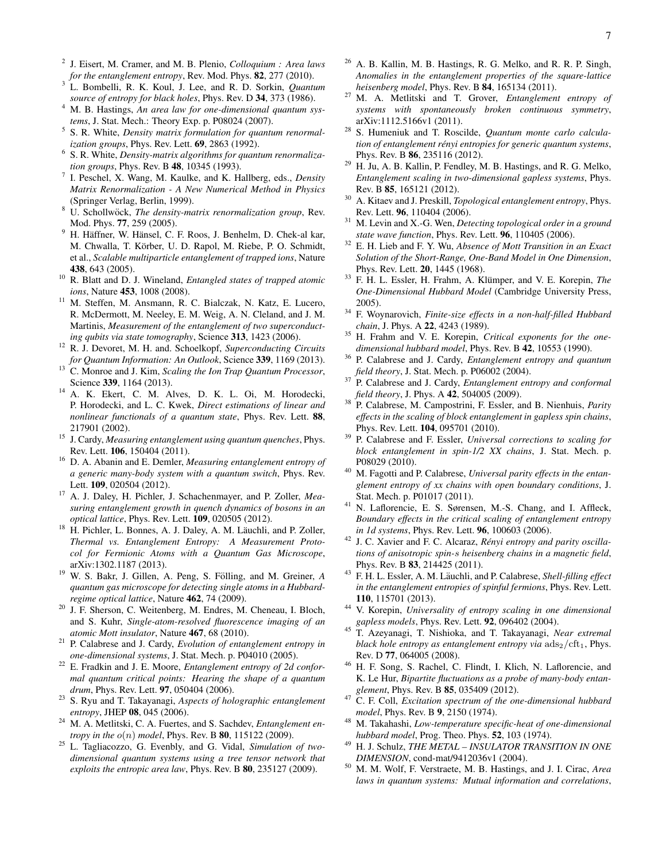- <span id="page-6-0"></span>2 J. Eisert, M. Cramer, and M. B. Plenio, *Colloquium : Area laws for the entanglement entropy*, Rev. Mod. Phys. 82, 277 (2010).
- <span id="page-6-1"></span><sup>3</sup> L. Bombelli, R. K. Koul, J. Lee, and R. D. Sorkin, *Quantum source of entropy for black holes*, Phys. Rev. D 34, 373 (1986).
- <span id="page-6-2"></span><sup>4</sup> M. B. Hastings, *An area law for one-dimensional quantum systems*, J. Stat. Mech.: Theory Exp. p. P08024 (2007).
- <span id="page-6-3"></span>5 S. R. White, *Density matrix formulation for quantum renormalization groups*, Phys. Rev. Lett. 69, 2863 (1992).
- 6 S. R. White, *Density-matrix algorithms for quantum renormalization groups*, Phys. Rev. B 48, 10345 (1993).
- 7 I. Peschel, X. Wang, M. Kaulke, and K. Hallberg, eds., *Density Matrix Renormalization - A New Numerical Method in Physics* (Springer Verlag, Berlin, 1999).
- <span id="page-6-4"></span>U. Schollwöck, *The density-matrix renormalization group*, Rev. Mod. Phys. 77, 259 (2005).
- <span id="page-6-5"></span> $9$  H. Häffner, W. Hänsel, C. F. Roos, J. Benhelm, D. Chek-al kar, M. Chwalla, T. Körber, U. D. Rapol, M. Riebe, P. O. Schmidt, et al., *Scalable multiparticle entanglement of trapped ions*, Nature 438, 643 (2005).
- <span id="page-6-6"></span><sup>10</sup> R. Blatt and D. J. Wineland, *Entangled states of trapped atomic ions*, Nature 453, 1008 (2008).
- <span id="page-6-7"></span><sup>11</sup> M. Steffen, M. Ansmann, R. C. Bialczak, N. Katz, E. Lucero, R. McDermott, M. Neeley, E. M. Weig, A. N. Cleland, and J. M. Martinis, *Measurement of the entanglement of two superconducting qubits via state tomography*, Science 313, 1423 (2006).
- <span id="page-6-8"></span><sup>12</sup> R. J. Devoret, M. H. and. Schoelkopf, *Superconducting Circuits for Quantum Information: An Outlook*, Science 339, 1169 (2013).
- <span id="page-6-9"></span><sup>13</sup> C. Monroe and J. Kim, *Scaling the Ion Trap Quantum Processor*, Science 339, 1164 (2013).
- <span id="page-6-10"></span><sup>14</sup> A. K. Ekert, C. M. Alves, D. K. L. Oi, M. Horodecki, P. Horodecki, and L. C. Kwek, *Direct estimations of linear and nonlinear functionals of a quantum state*, Phys. Rev. Lett. 88, 217901 (2002).
- <sup>15</sup> J. Cardy, *Measuring entanglement using quantum quenches*, Phys. Rev. Lett. 106, 150404 (2011).
- <sup>16</sup> D. A. Abanin and E. Demler, *Measuring entanglement entropy of a generic many-body system with a quantum switch*, Phys. Rev. Lett. 109, 020504 (2012).
- <span id="page-6-12"></span><sup>17</sup> A. J. Daley, H. Pichler, J. Schachenmayer, and P. Zoller, *Measuring entanglement growth in quench dynamics of bosons in an optical lattice*, Phys. Rev. Lett. 109, 020505 (2012).
- <span id="page-6-11"></span> $18$  H. Pichler, L. Bonnes, A. J. Daley, A. M. Läuchli, and P. Zoller, *Thermal vs. Entanglement Entropy: A Measurement Protocol for Fermionic Atoms with a Quantum Gas Microscope*, arXiv:1302.1187 (2013).
- <span id="page-6-13"></span> $19$  W. S. Bakr, J. Gillen, A. Peng, S. Fölling, and M. Greiner, A *quantum gas microscope for detecting single atoms in a Hubbardregime optical lattice*, Nature 462, 74 (2009).
- <span id="page-6-14"></span><sup>20</sup> J. F. Sherson, C. Weitenberg, M. Endres, M. Cheneau, I. Bloch, and S. Kuhr, *Single-atom-resolved fluorescence imaging of an atomic Mott insulator*, Nature 467, 68 (2010).
- <span id="page-6-15"></span><sup>21</sup> P. Calabrese and J. Cardy, *Evolution of entanglement entropy in one-dimensional systems*, J. Stat. Mech. p. P04010 (2005).
- <span id="page-6-16"></span><sup>22</sup> E. Fradkin and J. E. Moore, *Entanglement entropy of 2d conformal quantum critical points: Hearing the shape of a quantum drum*, Phys. Rev. Lett. 97, 050404 (2006).
- <sup>23</sup> S. Ryu and T. Takayanagi, *Aspects of holographic entanglement entropy*, JHEP 08, 045 (2006).
- <sup>24</sup> M. A. Metlitski, C. A. Fuertes, and S. Sachdev, *Entanglement entropy in the* o(n) *model*, Phys. Rev. B 80, 115122 (2009).
- <sup>25</sup> L. Tagliacozzo, G. Evenbly, and G. Vidal, *Simulation of twodimensional quantum systems using a tree tensor network that exploits the entropic area law*, Phys. Rev. B 80, 235127 (2009).
- $26$  A. B. Kallin, M. B. Hastings, R. G. Melko, and R. R. P. Singh, *Anomalies in the entanglement properties of the square-lattice heisenberg model*, Phys. Rev. B 84, 165134 (2011).
- <sup>27</sup> M. A. Metlitski and T. Grover, *Entanglement entropy of systems with spontaneously broken continuous symmetry*, arXiv:1112.5166v1 (2011).
- <span id="page-6-36"></span><sup>28</sup> S. Humeniuk and T. Roscilde, *Quantum monte carlo calculation of entanglement rényi entropies for generic quantum systems,* Phys. Rev. B 86, 235116 (2012).
- <span id="page-6-17"></span><sup>29</sup> H. Ju, A. B. Kallin, P. Fendley, M. B. Hastings, and R. G. Melko, *Entanglement scaling in two-dimensional gapless systems*, Phys. Rev. B 85, 165121 (2012).
- <span id="page-6-18"></span><sup>30</sup> A. Kitaev and J. Preskill, *Topological entanglement entropy*, Phys. Rev. Lett. 96, 110404 (2006).
- <span id="page-6-19"></span><sup>31</sup> M. Levin and X.-G. Wen, *Detecting topological order in a ground state wave function*, Phys. Rev. Lett. 96, 110405 (2006).
- <span id="page-6-20"></span><sup>32</sup> E. H. Lieb and F. Y. Wu, *Absence of Mott Transition in an Exact Solution of the Short-Range, One-Band Model in One Dimension*, Phys. Rev. Lett. 20, 1445 (1968).
- <span id="page-6-21"></span><sup>33</sup> F. H. L. Essler, H. Frahm, A. Klümper, and V. E. Korepin, *The One-Dimensional Hubbard Model* (Cambridge University Press, 2005).
- <span id="page-6-26"></span><sup>34</sup> F. Woynarovich, *Finite-size effects in a non-half-filled Hubbard chain*, J. Phys. A 22, 4243 (1989).
- <span id="page-6-22"></span><sup>35</sup> H. Frahm and V. E. Korepin, *Critical exponents for the onedimensional hubbard model*, Phys. Rev. B 42, 10553 (1990).
- <span id="page-6-23"></span><sup>36</sup> P. Calabrese and J. Cardy, *Entanglement entropy and quantum field theory*, J. Stat. Mech. p. P06002 (2004).
- <span id="page-6-24"></span><sup>37</sup> P. Calabrese and J. Cardy, *Entanglement entropy and conformal field theory*, J. Phys. A 42, 504005 (2009).
- <span id="page-6-27"></span><sup>38</sup> P. Calabrese, M. Campostrini, F. Essler, and B. Nienhuis, *Parity effects in the scaling of block entanglement in gapless spin chains*, Phys. Rev. Lett. 104, 095701 (2010).
- <sup>39</sup> P. Calabrese and F. Essler, *Universal corrections to scaling for block entanglement in spin-1/2 XX chains*, J. Stat. Mech. p. P08029 (2010).
- <span id="page-6-25"></span><sup>40</sup> M. Fagotti and P. Calabrese, *Universal parity effects in the entanglement entropy of xx chains with open boundary conditions*, J. Stat. Mech. p. P01017 (2011).
- <span id="page-6-37"></span><sup>41</sup> N. Laflorencie, E. S. Sørensen, M.-S. Chang, and I. Affleck, *Boundary effects in the critical scaling of entanglement entropy in 1d systems*, Phys. Rev. Lett. 96, 100603 (2006).
- <span id="page-6-28"></span><sup>42</sup> J. C. Xavier and F. C. Alcaraz, *Renyi entropy and parity oscilla- ´ tions of anisotropic spin-*s *heisenberg chains in a magnetic field*, Phys. Rev. B 83, 214425 (2011).
- <span id="page-6-29"></span><sup>43</sup> F. H. L. Essler, A. M. Läuchli, and P. Calabrese, *Shell-filling effect in the entanglement entropies of spinful fermions*, Phys. Rev. Lett. 110, 115701 (2013).
- <span id="page-6-30"></span><sup>44</sup> V. Korepin, *Universality of entropy scaling in one dimensional gapless models*, Phys. Rev. Lett. 92, 096402 (2004).
- <span id="page-6-31"></span><sup>45</sup> T. Azeyanagi, T. Nishioka, and T. Takayanagi, *Near extremal black hole entropy as entanglement entropy via*  $\frac{ads_2}{ct_1}$ , Phys. Rev. D 77, 064005 (2008).
- <span id="page-6-32"></span><sup>46</sup> H. F. Song, S. Rachel, C. Flindt, I. Klich, N. Laflorencie, and K. Le Hur, *Bipartite fluctuations as a probe of many-body entanglement*, Phys. Rev. B 85, 035409 (2012).
- <span id="page-6-33"></span><sup>47</sup> C. F. Coll, *Excitation spectrum of the one-dimensional hubbard model*, Phys. Rev. B 9, 2150 (1974).
- <span id="page-6-38"></span><sup>48</sup> M. Takahashi, *Low-temperature specific-heat of one-dimensional hubbard model*, Prog. Theo. Phys. 52, 103 (1974).
- <span id="page-6-34"></span><sup>49</sup> H. J. Schulz, *THE METAL – INSULATOR TRANSITION IN ONE DIMENSION*, cond-mat/9412036v1 (2004).
- <span id="page-6-35"></span><sup>50</sup> M. M. Wolf, F. Verstraete, M. B. Hastings, and J. I. Cirac, *Area laws in quantum systems: Mutual information and correlations*,